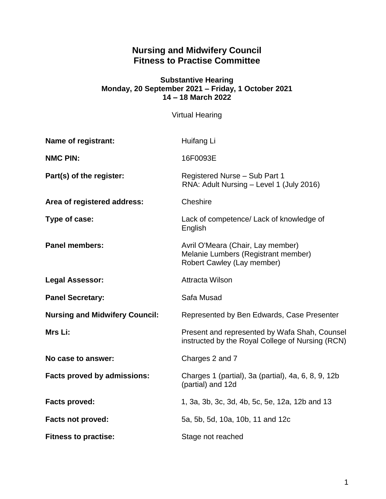# **Nursing and Midwifery Council Fitness to Practise Committee**

#### **Substantive Hearing Monday, 20 September 2021 – Friday, 1 October 2021 14 – 18 March 2022**

Virtual Hearing

| Name of registrant:                   | Huifang Li                                                                                             |
|---------------------------------------|--------------------------------------------------------------------------------------------------------|
| <b>NMC PIN:</b>                       | 16F0093E                                                                                               |
| Part(s) of the register:              | Registered Nurse - Sub Part 1<br>RNA: Adult Nursing - Level 1 (July 2016)                              |
| Area of registered address:           | Cheshire                                                                                               |
| Type of case:                         | Lack of competence/ Lack of knowledge of<br>English                                                    |
| <b>Panel members:</b>                 | Avril O'Meara (Chair, Lay member)<br>Melanie Lumbers (Registrant member)<br>Robert Cawley (Lay member) |
| <b>Legal Assessor:</b>                | <b>Attracta Wilson</b>                                                                                 |
| <b>Panel Secretary:</b>               | Safa Musad                                                                                             |
| <b>Nursing and Midwifery Council:</b> | Represented by Ben Edwards, Case Presenter                                                             |
| Mrs Li:                               | Present and represented by Wafa Shah, Counsel<br>instructed by the Royal College of Nursing (RCN)      |
| No case to answer:                    | Charges 2 and 7                                                                                        |
| <b>Facts proved by admissions:</b>    | Charges 1 (partial), 3a (partial), 4a, 6, 8, 9, 12b<br>(partial) and 12d                               |
| <b>Facts proved:</b>                  | 1, 3a, 3b, 3c, 3d, 4b, 5c, 5e, 12a, 12b and 13                                                         |
| <b>Facts not proved:</b>              | 5a, 5b, 5d, 10a, 10b, 11 and 12c                                                                       |
|                                       |                                                                                                        |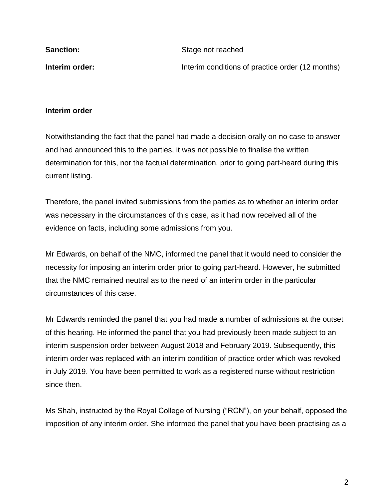| <b>Sanction:</b> | Stage not reached                                |
|------------------|--------------------------------------------------|
| Interim order:   | Interim conditions of practice order (12 months) |

#### **Interim order**

Notwithstanding the fact that the panel had made a decision orally on no case to answer and had announced this to the parties, it was not possible to finalise the written determination for this, nor the factual determination, prior to going part-heard during this current listing.

Therefore, the panel invited submissions from the parties as to whether an interim order was necessary in the circumstances of this case, as it had now received all of the evidence on facts, including some admissions from you.

Mr Edwards, on behalf of the NMC, informed the panel that it would need to consider the necessity for imposing an interim order prior to going part-heard. However, he submitted that the NMC remained neutral as to the need of an interim order in the particular circumstances of this case.

Mr Edwards reminded the panel that you had made a number of admissions at the outset of this hearing. He informed the panel that you had previously been made subject to an interim suspension order between August 2018 and February 2019. Subsequently, this interim order was replaced with an interim condition of practice order which was revoked in July 2019. You have been permitted to work as a registered nurse without restriction since then.

Ms Shah, instructed by the Royal College of Nursing ("RCN"), on your behalf, opposed the imposition of any interim order. She informed the panel that you have been practising as a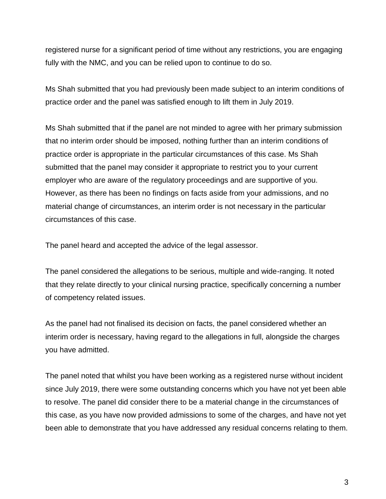registered nurse for a significant period of time without any restrictions, you are engaging fully with the NMC, and you can be relied upon to continue to do so.

Ms Shah submitted that you had previously been made subject to an interim conditions of practice order and the panel was satisfied enough to lift them in July 2019.

Ms Shah submitted that if the panel are not minded to agree with her primary submission that no interim order should be imposed, nothing further than an interim conditions of practice order is appropriate in the particular circumstances of this case. Ms Shah submitted that the panel may consider it appropriate to restrict you to your current employer who are aware of the regulatory proceedings and are supportive of you. However, as there has been no findings on facts aside from your admissions, and no material change of circumstances, an interim order is not necessary in the particular circumstances of this case.

The panel heard and accepted the advice of the legal assessor.

The panel considered the allegations to be serious, multiple and wide-ranging. It noted that they relate directly to your clinical nursing practice, specifically concerning a number of competency related issues.

As the panel had not finalised its decision on facts, the panel considered whether an interim order is necessary, having regard to the allegations in full, alongside the charges you have admitted.

The panel noted that whilst you have been working as a registered nurse without incident since July 2019, there were some outstanding concerns which you have not yet been able to resolve. The panel did consider there to be a material change in the circumstances of this case, as you have now provided admissions to some of the charges, and have not yet been able to demonstrate that you have addressed any residual concerns relating to them.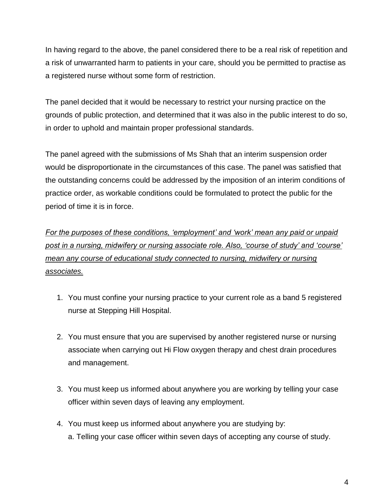In having regard to the above, the panel considered there to be a real risk of repetition and a risk of unwarranted harm to patients in your care, should you be permitted to practise as a registered nurse without some form of restriction.

The panel decided that it would be necessary to restrict your nursing practice on the grounds of public protection, and determined that it was also in the public interest to do so, in order to uphold and maintain proper professional standards.

The panel agreed with the submissions of Ms Shah that an interim suspension order would be disproportionate in the circumstances of this case. The panel was satisfied that the outstanding concerns could be addressed by the imposition of an interim conditions of practice order, as workable conditions could be formulated to protect the public for the period of time it is in force.

*For the purposes of these conditions, 'employment' and 'work' mean any paid or unpaid post in a nursing, midwifery or nursing associate role. Also, 'course of study' and 'course' mean any course of educational study connected to nursing, midwifery or nursing associates.*

- 1. You must confine your nursing practice to your current role as a band 5 registered nurse at Stepping Hill Hospital.
- 2. You must ensure that you are supervised by another registered nurse or nursing associate when carrying out Hi Flow oxygen therapy and chest drain procedures and management.
- 3. You must keep us informed about anywhere you are working by telling your case officer within seven days of leaving any employment.
- 4. You must keep us informed about anywhere you are studying by: a. Telling your case officer within seven days of accepting any course of study.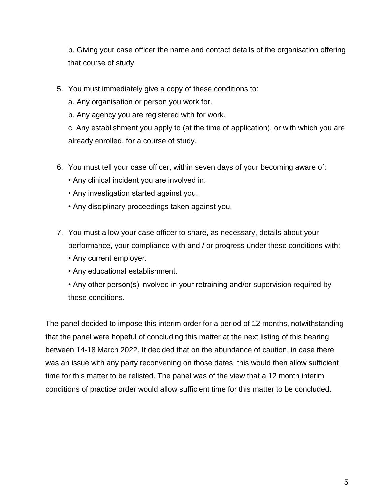b. Giving your case officer the name and contact details of the organisation offering that course of study.

- 5. You must immediately give a copy of these conditions to:
	- a. Any organisation or person you work for.
	- b. Any agency you are registered with for work.

c. Any establishment you apply to (at the time of application), or with which you are already enrolled, for a course of study.

- 6. You must tell your case officer, within seven days of your becoming aware of:
	- Any clinical incident you are involved in.
	- Any investigation started against you.
	- Any disciplinary proceedings taken against you.
- 7. You must allow your case officer to share, as necessary, details about your performance, your compliance with and / or progress under these conditions with:
	- Any current employer.
	- Any educational establishment.
	- Any other person(s) involved in your retraining and/or supervision required by these conditions.

The panel decided to impose this interim order for a period of 12 months, notwithstanding that the panel were hopeful of concluding this matter at the next listing of this hearing between 14-18 March 2022. It decided that on the abundance of caution, in case there was an issue with any party reconvening on those dates, this would then allow sufficient time for this matter to be relisted. The panel was of the view that a 12 month interim conditions of practice order would allow sufficient time for this matter to be concluded.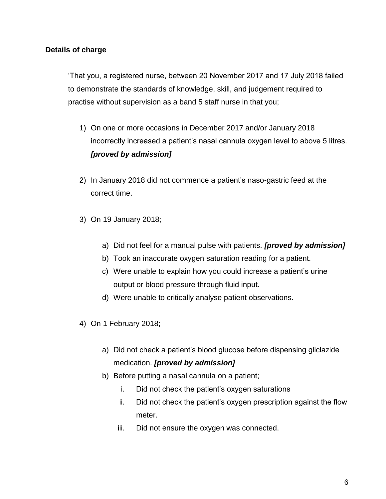#### **Details of charge**

'That you, a registered nurse, between 20 November 2017 and 17 July 2018 failed to demonstrate the standards of knowledge, skill, and judgement required to practise without supervision as a band 5 staff nurse in that you;

- 1) On one or more occasions in December 2017 and/or January 2018 incorrectly increased a patient's nasal cannula oxygen level to above 5 litres. *[proved by admission]*
- 2) In January 2018 did not commence a patient's naso-gastric feed at the correct time.
- 3) On 19 January 2018;
	- a) Did not feel for a manual pulse with patients. *[proved by admission]*
	- b) Took an inaccurate oxygen saturation reading for a patient.
	- c) Were unable to explain how you could increase a patient's urine output or blood pressure through fluid input.
	- d) Were unable to critically analyse patient observations.
- 4) On 1 February 2018;
	- a) Did not check a patient's blood glucose before dispensing gliclazide medication. *[proved by admission]*
	- b) Before putting a nasal cannula on a patient;
		- i. Did not check the patient's oxygen saturations
		- ii. Did not check the patient's oxygen prescription against the flow meter.
		- iii. Did not ensure the oxygen was connected.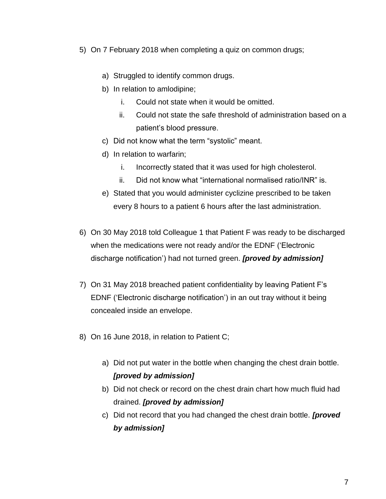- 5) On 7 February 2018 when completing a quiz on common drugs;
	- a) Struggled to identify common drugs.
	- b) In relation to amlodipine;
		- i. Could not state when it would be omitted.
		- ii. Could not state the safe threshold of administration based on a patient's blood pressure.
	- c) Did not know what the term "systolic" meant.
	- d) In relation to warfarin;
		- i. Incorrectly stated that it was used for high cholesterol.
		- ii. Did not know what "international normalised ratio/INR" is.
	- e) Stated that you would administer cyclizine prescribed to be taken every 8 hours to a patient 6 hours after the last administration.
- 6) On 30 May 2018 told Colleague 1 that Patient F was ready to be discharged when the medications were not ready and/or the EDNF ('Electronic discharge notification') had not turned green. *[proved by admission]*
- 7) On 31 May 2018 breached patient confidentiality by leaving Patient F's EDNF ('Electronic discharge notification') in an out tray without it being concealed inside an envelope.
- 8) On 16 June 2018, in relation to Patient C;
	- a) Did not put water in the bottle when changing the chest drain bottle. *[proved by admission]*
	- b) Did not check or record on the chest drain chart how much fluid had drained. *[proved by admission]*
	- c) Did not record that you had changed the chest drain bottle. *[proved by admission]*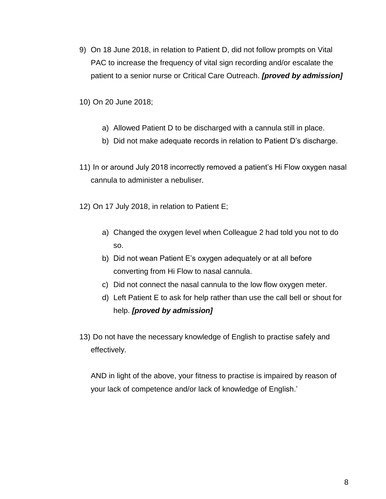9) On 18 June 2018, in relation to Patient D, did not follow prompts on Vital PAC to increase the frequency of vital sign recording and/or escalate the patient to a senior nurse or Critical Care Outreach. *[proved by admission]*

10) On 20 June 2018;

- a) Allowed Patient D to be discharged with a cannula still in place.
- b) Did not make adequate records in relation to Patient D's discharge.
- 11) In or around July 2018 incorrectly removed a patient's Hi Flow oxygen nasal cannula to administer a nebuliser.
- 12) On 17 July 2018, in relation to Patient E;
	- a) Changed the oxygen level when Colleague 2 had told you not to do so.
	- b) Did not wean Patient E's oxygen adequately or at all before converting from Hi Flow to nasal cannula.
	- c) Did not connect the nasal cannula to the low flow oxygen meter.
	- d) Left Patient E to ask for help rather than use the call bell or shout for help. *[proved by admission]*
- 13) Do not have the necessary knowledge of English to practise safely and effectively.

AND in light of the above, your fitness to practise is impaired by reason of your lack of competence and/or lack of knowledge of English.'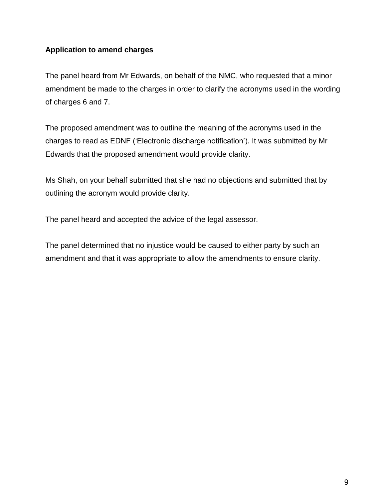### **Application to amend charges**

The panel heard from Mr Edwards, on behalf of the NMC, who requested that a minor amendment be made to the charges in order to clarify the acronyms used in the wording of charges 6 and 7.

The proposed amendment was to outline the meaning of the acronyms used in the charges to read as EDNF ('Electronic discharge notification'). It was submitted by Mr Edwards that the proposed amendment would provide clarity.

Ms Shah, on your behalf submitted that she had no objections and submitted that by outlining the acronym would provide clarity.

The panel heard and accepted the advice of the legal assessor.

The panel determined that no injustice would be caused to either party by such an amendment and that it was appropriate to allow the amendments to ensure clarity.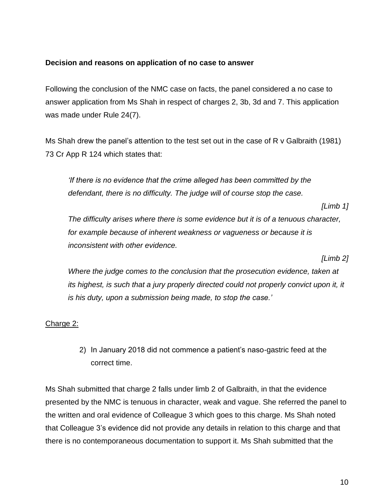#### **Decision and reasons on application of no case to answer**

Following the conclusion of the NMC case on facts, the panel considered a no case to answer application from Ms Shah in respect of charges 2, 3b, 3d and 7. This application was made under Rule 24(7).

Ms Shah drew the panel's attention to the test set out in the case of R v Galbraith (1981) 73 Cr App R 124 which states that:

*'If there is no evidence that the crime alleged has been committed by the defendant, there is no difficulty. The judge will of course stop the case.* 

*[Limb 1]*

*The difficulty arises where there is some evidence but it is of a tenuous character, for example because of inherent weakness or vagueness or because it is inconsistent with other evidence.* 

*[Limb 2]*

*Where the judge comes to the conclusion that the prosecution evidence, taken at its highest, is such that a jury properly directed could not properly convict upon it, it is his duty, upon a submission being made, to stop the case.'*

#### Charge 2:

2) In January 2018 did not commence a patient's naso-gastric feed at the correct time.

Ms Shah submitted that charge 2 falls under limb 2 of Galbraith, in that the evidence presented by the NMC is tenuous in character, weak and vague. She referred the panel to the written and oral evidence of Colleague 3 which goes to this charge. Ms Shah noted that Colleague 3's evidence did not provide any details in relation to this charge and that there is no contemporaneous documentation to support it. Ms Shah submitted that the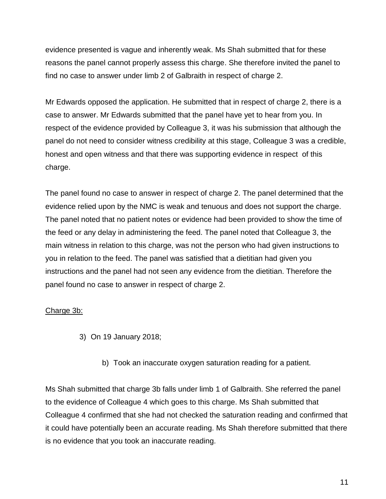evidence presented is vague and inherently weak. Ms Shah submitted that for these reasons the panel cannot properly assess this charge. She therefore invited the panel to find no case to answer under limb 2 of Galbraith in respect of charge 2.

Mr Edwards opposed the application. He submitted that in respect of charge 2, there is a case to answer. Mr Edwards submitted that the panel have yet to hear from you. In respect of the evidence provided by Colleague 3, it was his submission that although the panel do not need to consider witness credibility at this stage, Colleague 3 was a credible, honest and open witness and that there was supporting evidence in respect of this charge.

The panel found no case to answer in respect of charge 2. The panel determined that the evidence relied upon by the NMC is weak and tenuous and does not support the charge. The panel noted that no patient notes or evidence had been provided to show the time of the feed or any delay in administering the feed. The panel noted that Colleague 3, the main witness in relation to this charge, was not the person who had given instructions to you in relation to the feed. The panel was satisfied that a dietitian had given you instructions and the panel had not seen any evidence from the dietitian. Therefore the panel found no case to answer in respect of charge 2.

### Charge 3b:

- 3) On 19 January 2018;
	- b) Took an inaccurate oxygen saturation reading for a patient.

Ms Shah submitted that charge 3b falls under limb 1 of Galbraith. She referred the panel to the evidence of Colleague 4 which goes to this charge. Ms Shah submitted that Colleague 4 confirmed that she had not checked the saturation reading and confirmed that it could have potentially been an accurate reading. Ms Shah therefore submitted that there is no evidence that you took an inaccurate reading.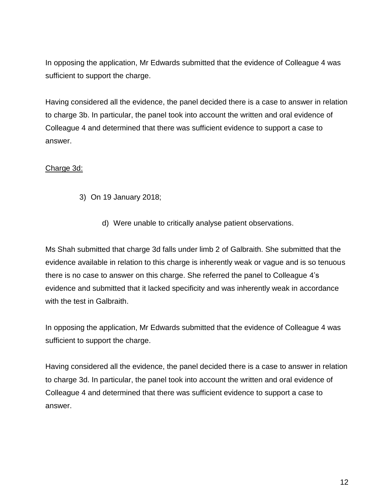In opposing the application, Mr Edwards submitted that the evidence of Colleague 4 was sufficient to support the charge.

Having considered all the evidence, the panel decided there is a case to answer in relation to charge 3b. In particular, the panel took into account the written and oral evidence of Colleague 4 and determined that there was sufficient evidence to support a case to answer.

### Charge 3d:

- 3) On 19 January 2018;
	- d) Were unable to critically analyse patient observations.

Ms Shah submitted that charge 3d falls under limb 2 of Galbraith. She submitted that the evidence available in relation to this charge is inherently weak or vague and is so tenuous there is no case to answer on this charge. She referred the panel to Colleague 4's evidence and submitted that it lacked specificity and was inherently weak in accordance with the test in Galbraith.

In opposing the application, Mr Edwards submitted that the evidence of Colleague 4 was sufficient to support the charge.

Having considered all the evidence, the panel decided there is a case to answer in relation to charge 3d. In particular, the panel took into account the written and oral evidence of Colleague 4 and determined that there was sufficient evidence to support a case to answer.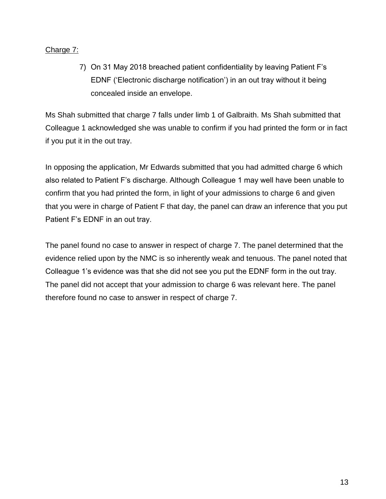### Charge 7:

7) On 31 May 2018 breached patient confidentiality by leaving Patient F's EDNF ('Electronic discharge notification') in an out tray without it being concealed inside an envelope.

Ms Shah submitted that charge 7 falls under limb 1 of Galbraith. Ms Shah submitted that Colleague 1 acknowledged she was unable to confirm if you had printed the form or in fact if you put it in the out tray.

In opposing the application, Mr Edwards submitted that you had admitted charge 6 which also related to Patient F's discharge. Although Colleague 1 may well have been unable to confirm that you had printed the form, in light of your admissions to charge 6 and given that you were in charge of Patient F that day, the panel can draw an inference that you put Patient F's EDNF in an out tray.

The panel found no case to answer in respect of charge 7. The panel determined that the evidence relied upon by the NMC is so inherently weak and tenuous. The panel noted that Colleague 1's evidence was that she did not see you put the EDNF form in the out tray. The panel did not accept that your admission to charge 6 was relevant here. The panel therefore found no case to answer in respect of charge 7.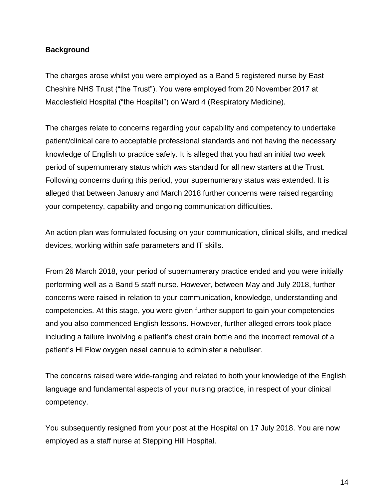### **Background**

The charges arose whilst you were employed as a Band 5 registered nurse by East Cheshire NHS Trust ("the Trust"). You were employed from 20 November 2017 at Macclesfield Hospital ("the Hospital") on Ward 4 (Respiratory Medicine).

The charges relate to concerns regarding your capability and competency to undertake patient/clinical care to acceptable professional standards and not having the necessary knowledge of English to practice safely. It is alleged that you had an initial two week period of supernumerary status which was standard for all new starters at the Trust. Following concerns during this period, your supernumerary status was extended. It is alleged that between January and March 2018 further concerns were raised regarding your competency, capability and ongoing communication difficulties.

An action plan was formulated focusing on your communication, clinical skills, and medical devices, working within safe parameters and IT skills.

From 26 March 2018, your period of supernumerary practice ended and you were initially performing well as a Band 5 staff nurse. However, between May and July 2018, further concerns were raised in relation to your communication, knowledge, understanding and competencies. At this stage, you were given further support to gain your competencies and you also commenced English lessons. However, further alleged errors took place including a failure involving a patient's chest drain bottle and the incorrect removal of a patient's Hi Flow oxygen nasal cannula to administer a nebuliser.

The concerns raised were wide-ranging and related to both your knowledge of the English language and fundamental aspects of your nursing practice, in respect of your clinical competency.

You subsequently resigned from your post at the Hospital on 17 July 2018. You are now employed as a staff nurse at Stepping Hill Hospital.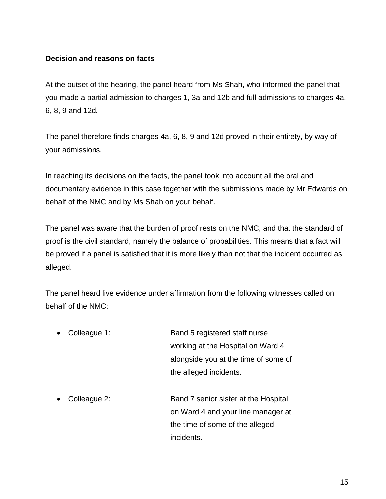### **Decision and reasons on facts**

At the outset of the hearing, the panel heard from Ms Shah, who informed the panel that you made a partial admission to charges 1, 3a and 12b and full admissions to charges 4a, 6, 8, 9 and 12d.

The panel therefore finds charges 4a, 6, 8, 9 and 12d proved in their entirety, by way of your admissions.

In reaching its decisions on the facts, the panel took into account all the oral and documentary evidence in this case together with the submissions made by Mr Edwards on behalf of the NMC and by Ms Shah on your behalf.

The panel was aware that the burden of proof rests on the NMC, and that the standard of proof is the civil standard, namely the balance of probabilities. This means that a fact will be proved if a panel is satisfied that it is more likely than not that the incident occurred as alleged.

The panel heard live evidence under affirmation from the following witnesses called on behalf of the NMC:

- Colleague 1: Band 5 registered staff nurse working at the Hospital on Ward 4 alongside you at the time of some of the alleged incidents.
- Colleague 2: **Band 7 senior sister at the Hospital** on Ward 4 and your line manager at the time of some of the alleged incidents.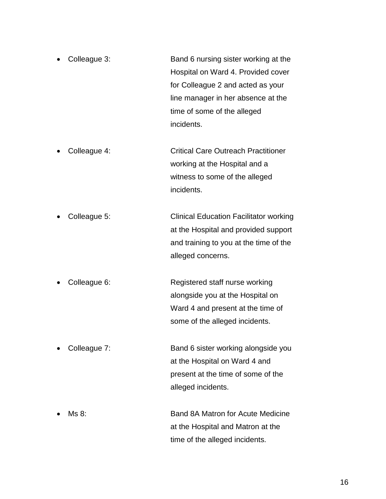- Colleague 3: **Band 6 nursing sister working at the** Hospital on Ward 4. Provided cover for Colleague 2 and acted as your line manager in her absence at the time of some of the alleged incidents.
- Colleague 4: Critical Care Outreach Practitioner working at the Hospital and a witness to some of the alleged incidents.
- Colleague 5: Clinical Education Facilitator working at the Hospital and provided support and training to you at the time of the alleged concerns.
- Colleague 6: Registered staff nurse working alongside you at the Hospital on Ward 4 and present at the time of some of the alleged incidents.
- Colleague 7: Band 6 sister working alongside you at the Hospital on Ward 4 and present at the time of some of the alleged incidents.
- Ms 8: Band 8A Matron for Acute Medicine at the Hospital and Matron at the time of the alleged incidents.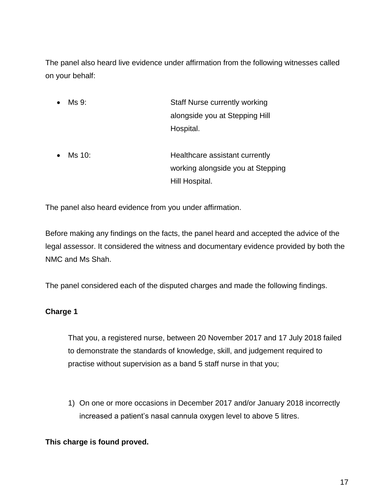The panel also heard live evidence under affirmation from the following witnesses called on your behalf:

- Ms 9: Staff Nurse currently working alongside you at Stepping Hill Hospital.
- Ms 10: **Healthcare assistant currently** working alongside you at Stepping Hill Hospital.

The panel also heard evidence from you under affirmation.

Before making any findings on the facts, the panel heard and accepted the advice of the legal assessor. It considered the witness and documentary evidence provided by both the NMC and Ms Shah.

The panel considered each of the disputed charges and made the following findings.

## **Charge 1**

That you, a registered nurse, between 20 November 2017 and 17 July 2018 failed to demonstrate the standards of knowledge, skill, and judgement required to practise without supervision as a band 5 staff nurse in that you;

1) On one or more occasions in December 2017 and/or January 2018 incorrectly increased a patient's nasal cannula oxygen level to above 5 litres.

## **This charge is found proved.**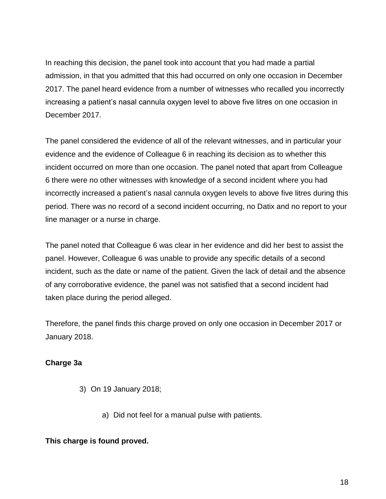In reaching this decision, the panel took into account that you had made a partial admission, in that you admitted that this had occurred on only one occasion in December 2017. The panel heard evidence from a number of witnesses who recalled you incorrectly increasing a patient's nasal cannula oxygen level to above five litres on one occasion in December 2017.

The panel considered the evidence of all of the relevant witnesses, and in particular your evidence and the evidence of Colleague 6 in reaching its decision as to whether this incident occurred on more than one occasion. The panel noted that apart from Colleague 6 there were no other witnesses with knowledge of a second incident where you had incorrectly increased a patient's nasal cannula oxygen levels to above five litres during this period. There was no record of a second incident occurring, no Datix and no report to your line manager or a nurse in charge.

The panel noted that Colleague 6 was clear in her evidence and did her best to assist the panel. However, Colleague 6 was unable to provide any specific details of a second incident, such as the date or name of the patient. Given the lack of detail and the absence of any corroborative evidence, the panel was not satisfied that a second incident had taken place during the period alleged.

Therefore, the panel finds this charge proved on only one occasion in December 2017 or January 2018.

### **Charge 3a**

- 3) On 19 January 2018;
	- a) Did not feel for a manual pulse with patients.

### **This charge is found proved.**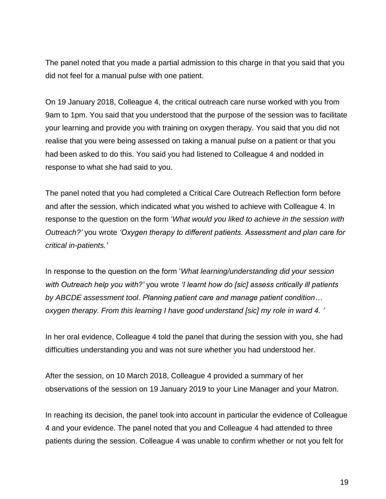The panel noted that you made a partial admission to this charge in that you said that you did not feel for a manual pulse with one patient.

On 19 January 2018, Colleague 4, the critical outreach care nurse worked with you from 9am to 1pm. You said that you understood that the purpose of the session was to facilitate your learning and provide you with training on oxygen therapy. You said that you did not realise that you were being assessed on taking a manual pulse on a patient or that you had been asked to do this. You said you had listened to Colleague 4 and nodded in response to what she had said to you.

The panel noted that you had completed a Critical Care Outreach Reflection form before and after the session, which indicated what you wished to achieve with Colleague 4. In response to the question on the form '*What would you liked to achieve in the session with Outreach?'* you wrote *'Oxygen therapy to different patients. Assessment and plan care for critical in-patients.'*

In response to the question on the form '*What learning/understanding did your session with Outreach help you with?'* you wrote *'I learnt how do [sic] assess critically ill patients by ABCDE assessment tool. Planning patient care and manage patient condition… oxygen therapy. From this learning I have good understand [sic] my role in ward 4. '*

In her oral evidence, Colleague 4 told the panel that during the session with you, she had difficulties understanding you and was not sure whether you had understood her.

After the session, on 10 March 2018, Colleague 4 provided a summary of her observations of the session on 19 January 2019 to your Line Manager and your Matron.

In reaching its decision, the panel took into account in particular the evidence of Colleague 4 and your evidence. The panel noted that you and Colleague 4 had attended to three patients during the session. Colleague 4 was unable to confirm whether or not you felt for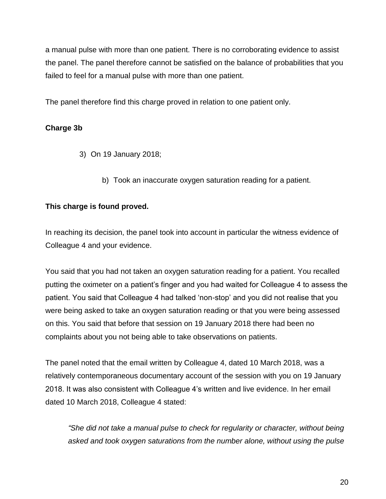a manual pulse with more than one patient. There is no corroborating evidence to assist the panel. The panel therefore cannot be satisfied on the balance of probabilities that you failed to feel for a manual pulse with more than one patient.

The panel therefore find this charge proved in relation to one patient only.

## **Charge 3b**

- 3) On 19 January 2018;
	- b) Took an inaccurate oxygen saturation reading for a patient.

### **This charge is found proved.**

In reaching its decision, the panel took into account in particular the witness evidence of Colleague 4 and your evidence.

You said that you had not taken an oxygen saturation reading for a patient. You recalled putting the oximeter on a patient's finger and you had waited for Colleague 4 to assess the patient. You said that Colleague 4 had talked 'non-stop' and you did not realise that you were being asked to take an oxygen saturation reading or that you were being assessed on this. You said that before that session on 19 January 2018 there had been no complaints about you not being able to take observations on patients.

The panel noted that the email written by Colleague 4, dated 10 March 2018, was a relatively contemporaneous documentary account of the session with you on 19 January 2018. It was also consistent with Colleague 4's written and live evidence. In her email dated 10 March 2018, Colleague 4 stated:

*"She did not take a manual pulse to check for regularity or character, without being asked and took oxygen saturations from the number alone, without using the pulse*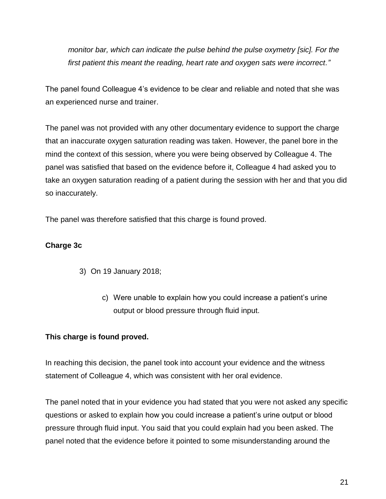*monitor bar, which can indicate the pulse behind the pulse oxymetry [sic]. For the first patient this meant the reading, heart rate and oxygen sats were incorrect."*

The panel found Colleague 4's evidence to be clear and reliable and noted that she was an experienced nurse and trainer.

The panel was not provided with any other documentary evidence to support the charge that an inaccurate oxygen saturation reading was taken. However, the panel bore in the mind the context of this session, where you were being observed by Colleague 4. The panel was satisfied that based on the evidence before it, Colleague 4 had asked you to take an oxygen saturation reading of a patient during the session with her and that you did so inaccurately.

The panel was therefore satisfied that this charge is found proved.

### **Charge 3c**

- 3) On 19 January 2018;
	- c) Were unable to explain how you could increase a patient's urine output or blood pressure through fluid input.

### **This charge is found proved.**

In reaching this decision, the panel took into account your evidence and the witness statement of Colleague 4, which was consistent with her oral evidence.

The panel noted that in your evidence you had stated that you were not asked any specific questions or asked to explain how you could increase a patient's urine output or blood pressure through fluid input. You said that you could explain had you been asked. The panel noted that the evidence before it pointed to some misunderstanding around the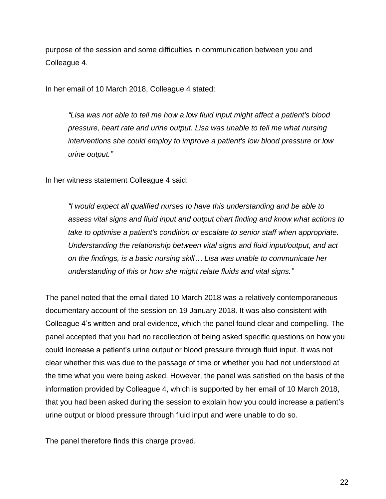purpose of the session and some difficulties in communication between you and Colleague 4.

In her email of 10 March 2018, Colleague 4 stated:

*"Lisa was not able to tell me how a low fluid input might affect a patient's blood pressure, heart rate and urine output. Lisa was unable to tell me what nursing interventions she could employ to improve a patient's low blood pressure or low urine output."*

In her witness statement Colleague 4 said:

*"I would expect all qualified nurses to have this understanding and be able to assess vital signs and fluid input and output chart finding and know what actions to take to optimise a patient's condition or escalate to senior staff when appropriate. Understanding the relationship between vital signs and fluid input/output, and act on the findings, is a basic nursing skill… Lisa was unable to communicate her understanding of this or how she might relate fluids and vital signs."*

The panel noted that the email dated 10 March 2018 was a relatively contemporaneous documentary account of the session on 19 January 2018. It was also consistent with Colleague 4's written and oral evidence, which the panel found clear and compelling. The panel accepted that you had no recollection of being asked specific questions on how you could increase a patient's urine output or blood pressure through fluid input. It was not clear whether this was due to the passage of time or whether you had not understood at the time what you were being asked. However, the panel was satisfied on the basis of the information provided by Colleague 4, which is supported by her email of 10 March 2018, that you had been asked during the session to explain how you could increase a patient's urine output or blood pressure through fluid input and were unable to do so.

The panel therefore finds this charge proved.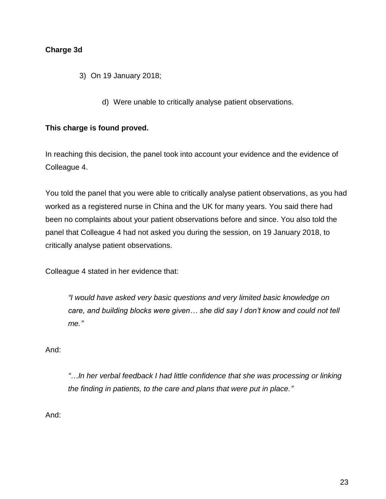### **Charge 3d**

- 3) On 19 January 2018;
	- d) Were unable to critically analyse patient observations.

#### **This charge is found proved.**

In reaching this decision, the panel took into account your evidence and the evidence of Colleague 4.

You told the panel that you were able to critically analyse patient observations, as you had worked as a registered nurse in China and the UK for many years. You said there had been no complaints about your patient observations before and since. You also told the panel that Colleague 4 had not asked you during the session, on 19 January 2018, to critically analyse patient observations.

Colleague 4 stated in her evidence that:

*"I would have asked very basic questions and very limited basic knowledge on care, and building blocks were given… she did say I don't know and could not tell me."*

#### And:

*"…In her verbal feedback I had little confidence that she was processing or linking the finding in patients, to the care and plans that were put in place."*

And: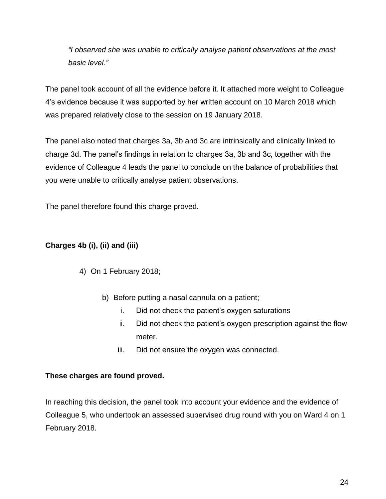*"I observed she was unable to critically analyse patient observations at the most basic level."* 

The panel took account of all the evidence before it. It attached more weight to Colleague 4's evidence because it was supported by her written account on 10 March 2018 which was prepared relatively close to the session on 19 January 2018.

The panel also noted that charges 3a, 3b and 3c are intrinsically and clinically linked to charge 3d. The panel's findings in relation to charges 3a, 3b and 3c, together with the evidence of Colleague 4 leads the panel to conclude on the balance of probabilities that you were unable to critically analyse patient observations.

The panel therefore found this charge proved.

## **Charges 4b (i), (ii) and (iii)**

## 4) On 1 February 2018;

- b) Before putting a nasal cannula on a patient;
	- i. Did not check the patient's oxygen saturations
	- ii. Did not check the patient's oxygen prescription against the flow meter.
	- iii. Did not ensure the oxygen was connected.

### **These charges are found proved.**

In reaching this decision, the panel took into account your evidence and the evidence of Colleague 5, who undertook an assessed supervised drug round with you on Ward 4 on 1 February 2018.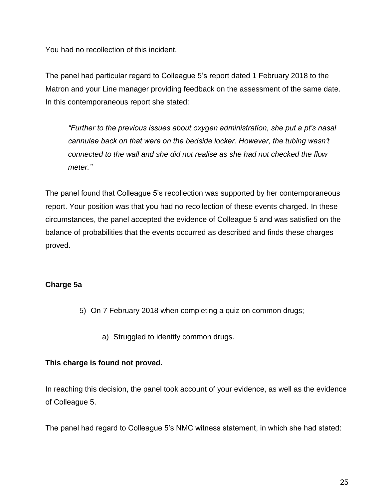You had no recollection of this incident.

The panel had particular regard to Colleague 5's report dated 1 February 2018 to the Matron and your Line manager providing feedback on the assessment of the same date. In this contemporaneous report she stated:

*"Further to the previous issues about oxygen administration, she put a pt's nasal cannulae back on that were on the bedside locker. However, the tubing wasn't connected to the wall and she did not realise as she had not checked the flow meter."*

The panel found that Colleague 5's recollection was supported by her contemporaneous report. Your position was that you had no recollection of these events charged. In these circumstances, the panel accepted the evidence of Colleague 5 and was satisfied on the balance of probabilities that the events occurred as described and finds these charges proved.

### **Charge 5a**

- 5) On 7 February 2018 when completing a quiz on common drugs;
	- a) Struggled to identify common drugs.

### **This charge is found not proved.**

In reaching this decision, the panel took account of your evidence, as well as the evidence of Colleague 5.

The panel had regard to Colleague 5's NMC witness statement, in which she had stated: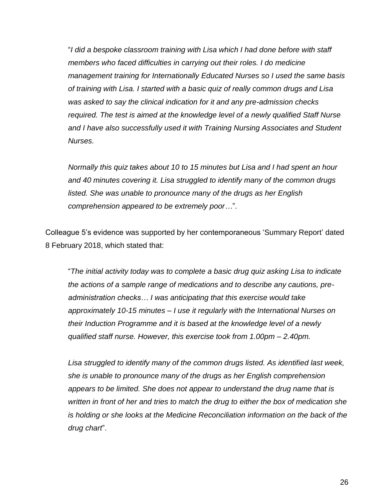"*I did a bespoke classroom training with Lisa which I had done before with staff members who faced difficulties in carrying out their roles. I do medicine management training for Internationally Educated Nurses so I used the same basis of training with Lisa. I started with a basic quiz of really common drugs and Lisa was asked to say the clinical indication for it and any pre-admission checks required. The test is aimed at the knowledge level of a newly qualified Staff Nurse and I have also successfully used it with Training Nursing Associates and Student Nurses.*

*Normally this quiz takes about 10 to 15 minutes but Lisa and I had spent an hour and 40 minutes covering it. Lisa struggled to identify many of the common drugs listed. She was unable to pronounce many of the drugs as her English comprehension appeared to be extremely poor…*".

Colleague 5's evidence was supported by her contemporaneous 'Summary Report' dated 8 February 2018, which stated that:

"*The initial activity today was to complete a basic drug quiz asking Lisa to indicate the actions of a sample range of medications and to describe any cautions, preadministration checks… I was anticipating that this exercise would take approximately 10-15 minutes – I use it regularly with the International Nurses on their Induction Programme and it is based at the knowledge level of a newly qualified staff nurse. However, this exercise took from 1.00pm – 2.40pm.*

*Lisa struggled to identify many of the common drugs listed. As identified last week, she is unable to pronounce many of the drugs as her English comprehension appears to be limited. She does not appear to understand the drug name that is written in front of her and tries to match the drug to either the box of medication she is holding or she looks at the Medicine Reconciliation information on the back of the drug chart*".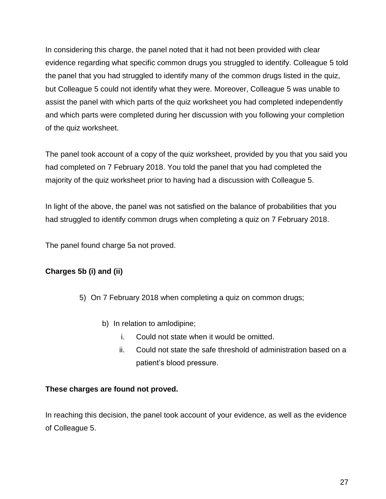In considering this charge, the panel noted that it had not been provided with clear evidence regarding what specific common drugs you struggled to identify. Colleague 5 told the panel that you had struggled to identify many of the common drugs listed in the quiz, but Colleague 5 could not identify what they were. Moreover, Colleague 5 was unable to assist the panel with which parts of the quiz worksheet you had completed independently and which parts were completed during her discussion with you following your completion of the quiz worksheet.

The panel took account of a copy of the quiz worksheet, provided by you that you said you had completed on 7 February 2018. You told the panel that you had completed the majority of the quiz worksheet prior to having had a discussion with Colleague 5.

In light of the above, the panel was not satisfied on the balance of probabilities that you had struggled to identify common drugs when completing a quiz on 7 February 2018.

The panel found charge 5a not proved.

## **Charges 5b (i) and (ii)**

- 5) On 7 February 2018 when completing a quiz on common drugs;
	- b) In relation to amlodipine;
		- i. Could not state when it would be omitted.
		- ii. Could not state the safe threshold of administration based on a patient's blood pressure.

### **These charges are found not proved.**

In reaching this decision, the panel took account of your evidence, as well as the evidence of Colleague 5.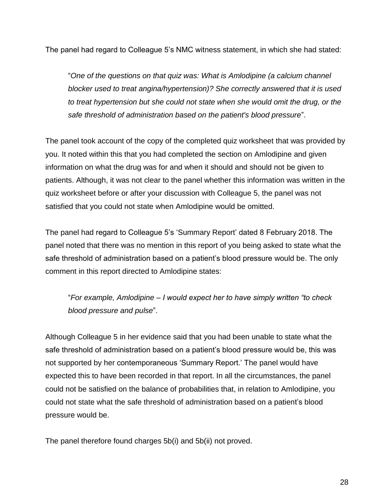The panel had regard to Colleague 5's NMC witness statement, in which she had stated:

"*One of the questions on that quiz was: What is Amlodipine (a calcium channel blocker used to treat angina/hypertension)? She correctly answered that it is used to treat hypertension but she could not state when she would omit the drug, or the safe threshold of administration based on the patient's blood pressure*".

The panel took account of the copy of the completed quiz worksheet that was provided by you. It noted within this that you had completed the section on Amlodipine and given information on what the drug was for and when it should and should not be given to patients. Although, it was not clear to the panel whether this information was written in the quiz worksheet before or after your discussion with Colleague 5, the panel was not satisfied that you could not state when Amlodipine would be omitted.

The panel had regard to Colleague 5's 'Summary Report' dated 8 February 2018. The panel noted that there was no mention in this report of you being asked to state what the safe threshold of administration based on a patient's blood pressure would be. The only comment in this report directed to Amlodipine states:

"*For example, Amlodipine – I would expect her to have simply written "to check blood pressure and pulse*".

Although Colleague 5 in her evidence said that you had been unable to state what the safe threshold of administration based on a patient's blood pressure would be, this was not supported by her contemporaneous 'Summary Report.' The panel would have expected this to have been recorded in that report. In all the circumstances, the panel could not be satisfied on the balance of probabilities that, in relation to Amlodipine, you could not state what the safe threshold of administration based on a patient's blood pressure would be.

The panel therefore found charges 5b(i) and 5b(ii) not proved.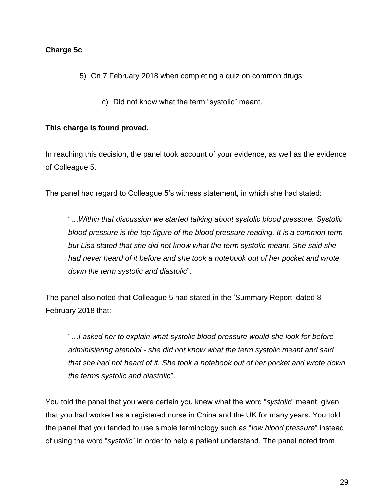### **Charge 5c**

- 5) On 7 February 2018 when completing a quiz on common drugs;
	- c) Did not know what the term "systolic" meant.

#### **This charge is found proved.**

In reaching this decision, the panel took account of your evidence, as well as the evidence of Colleague 5.

The panel had regard to Colleague 5's witness statement, in which she had stated:

"*…Within that discussion we started talking about systolic blood pressure. Systolic blood pressure is the top figure of the blood pressure reading. It is a common term but Lisa stated that she did not know what the term systolic meant. She said she had never heard of it before and she took a notebook out of her pocket and wrote down the term systolic and diastolic*".

The panel also noted that Colleague 5 had stated in the 'Summary Report' dated 8 February 2018 that:

"*…I asked her to explain what systolic blood pressure would she look for before administering atenolol - she did not know what the term systolic meant and said that she had not heard of it. She took a notebook out of her pocket and wrote down the terms systolic and diastolic*".

You told the panel that you were certain you knew what the word "*systolic*" meant, given that you had worked as a registered nurse in China and the UK for many years. You told the panel that you tended to use simple terminology such as "*low blood pressure*" instead of using the word "*systolic*" in order to help a patient understand. The panel noted from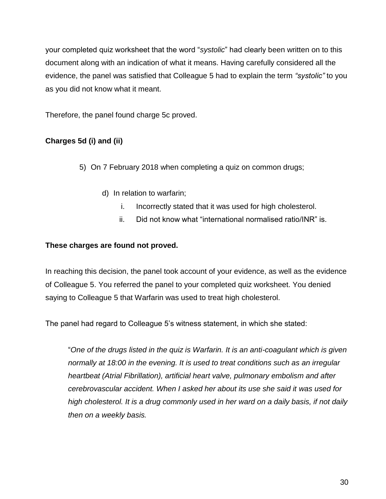your completed quiz worksheet that the word "*systolic*" had clearly been written on to this document along with an indication of what it means. Having carefully considered all the evidence, the panel was satisfied that Colleague 5 had to explain the term *"systolic"* to you as you did not know what it meant.

Therefore, the panel found charge 5c proved.

# **Charges 5d (i) and (ii)**

5) On 7 February 2018 when completing a quiz on common drugs;

- d) In relation to warfarin;
	- i. Incorrectly stated that it was used for high cholesterol.
	- ii. Did not know what "international normalised ratio/INR" is.

## **These charges are found not proved.**

In reaching this decision, the panel took account of your evidence, as well as the evidence of Colleague 5. You referred the panel to your completed quiz worksheet. You denied saying to Colleague 5 that Warfarin was used to treat high cholesterol.

The panel had regard to Colleague 5's witness statement, in which she stated:

"*One of the drugs listed in the quiz is Warfarin. It is an anti-coagulant which is given normally at 18:00 in the evening. It is used to treat conditions such as an irregular heartbeat (Atrial Fibrillation), artificial heart valve, pulmonary embolism and after cerebrovascular accident. When I asked her about its use she said it was used for high cholesterol. It is a drug commonly used in her ward on a daily basis, if not daily then on a weekly basis.*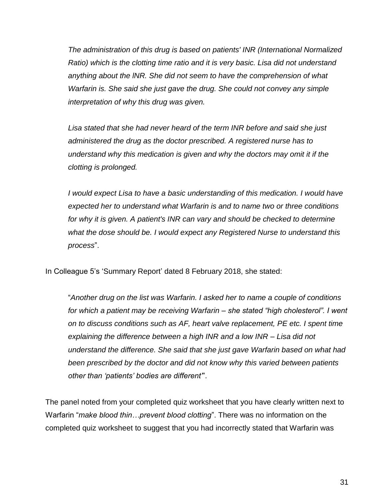*The administration of this drug is based on patients' INR (International Normalized Ratio) which is the clotting time ratio and it is very basic. Lisa did not understand anything about the lNR. She did not seem to have the comprehension of what Warfarin is. She said she just gave the drug. She could not convey any simple interpretation of why this drug was given.*

*Lisa stated that she had never heard of the term INR before and said she just administered the drug as the doctor prescribed. A registered nurse has to understand why this medication is given and why the doctors may omit it if the clotting is prolonged.*

*I would expect Lisa to have a basic understanding of this medication. I would have expected her to understand what Warfarin is and to name two or three conditions for why it is given. A patient's INR can vary and should be checked to determine what the dose should be. I would expect any Registered Nurse to understand this process*".

In Colleague 5's 'Summary Report' dated 8 February 2018, she stated:

"*Another drug on the list was Warfarin. I asked her to name a couple of conditions for which a patient may be receiving Warfarin – she stated "high cholesterol". I went on to discuss conditions such as AF, heart valve replacement, PE etc. I spent time explaining the difference between a high INR and a low INR – Lisa did not understand the difference. She said that she just gave Warfarin based on what had been prescribed by the doctor and did not know why this varied between patients other than 'patients' bodies are different'*".

The panel noted from your completed quiz worksheet that you have clearly written next to Warfarin "*make blood thin…prevent blood clotting*". There was no information on the completed quiz worksheet to suggest that you had incorrectly stated that Warfarin was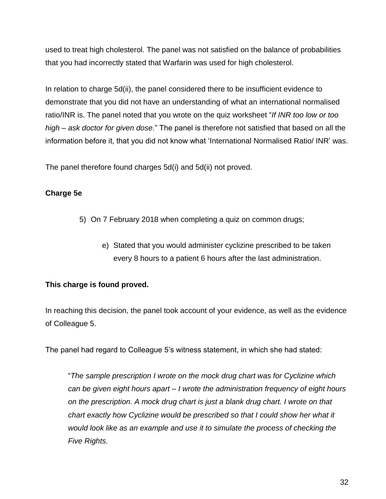used to treat high cholesterol. The panel was not satisfied on the balance of probabilities that you had incorrectly stated that Warfarin was used for high cholesterol.

In relation to charge 5d(ii), the panel considered there to be insufficient evidence to demonstrate that you did not have an understanding of what an international normalised ratio/INR is. The panel noted that you wrote on the quiz worksheet "*If INR too low or too high – ask doctor for given dose.*" The panel is therefore not satisfied that based on all the information before it, that you did not know what 'International Normalised Ratio/ INR' was.

The panel therefore found charges 5d(i) and 5d(ii) not proved.

## **Charge 5e**

- 5) On 7 February 2018 when completing a quiz on common drugs;
	- e) Stated that you would administer cyclizine prescribed to be taken every 8 hours to a patient 6 hours after the last administration.

## **This charge is found proved.**

In reaching this decision, the panel took account of your evidence, as well as the evidence of Colleague 5.

The panel had regard to Colleague 5's witness statement, in which she had stated:

"*The sample prescription I wrote on the mock drug chart was for Cyclizine which can be given eight hours apart – I wrote the administration frequency of eight hours on the prescription. A mock drug chart is just a blank drug chart. I wrote on that chart exactly how Cyclizine would be prescribed so that I could show her what it would look like as an example and use it to simulate the process of checking the Five Rights.*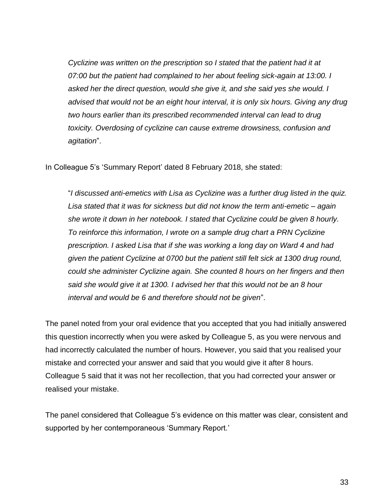*Cyclizine was written on the prescription so I stated that the patient had it at 07:00 but the patient had complained to her about feeling sick-again at 13:00. I asked her the direct question, would she give it, and she said yes she would. I*  advised that would not be an eight hour interval, it is only six hours. Giving any drug *two hours earlier than its prescribed recommended interval can lead to drug toxicity. Overdosing of cyclizine can cause extreme drowsiness, confusion and agitation*".

In Colleague 5's 'Summary Report' dated 8 February 2018, she stated:

"*I discussed anti-emetics with Lisa as Cyclizine was a further drug listed in the quiz. Lisa stated that it was for sickness but did not know the term anti-emetic – again she wrote it down in her notebook. I stated that Cyclizine could be given 8 hourly. To reinforce this information, I wrote on a sample drug chart a PRN Cyclizine prescription. I asked Lisa that if she was working a long day on Ward 4 and had given the patient Cyclizine at 0700 but the patient still felt sick at 1300 drug round, could she administer Cyclizine again. She counted 8 hours on her fingers and then said she would give it at 1300. I advised her that this would not be an 8 hour interval and would be 6 and therefore should not be given*".

The panel noted from your oral evidence that you accepted that you had initially answered this question incorrectly when you were asked by Colleague 5, as you were nervous and had incorrectly calculated the number of hours. However, you said that you realised your mistake and corrected your answer and said that you would give it after 8 hours. Colleague 5 said that it was not her recollection, that you had corrected your answer or realised your mistake.

The panel considered that Colleague 5's evidence on this matter was clear, consistent and supported by her contemporaneous 'Summary Report.'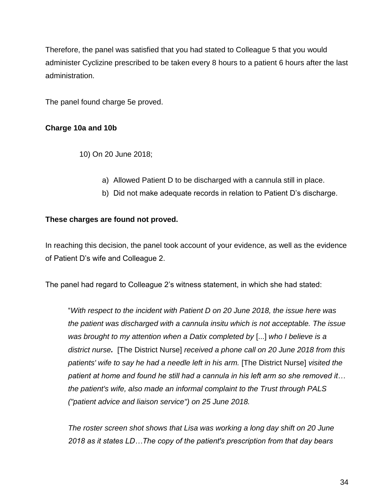Therefore, the panel was satisfied that you had stated to Colleague 5 that you would administer Cyclizine prescribed to be taken every 8 hours to a patient 6 hours after the last administration.

The panel found charge 5e proved.

### **Charge 10a and 10b**

10) On 20 June 2018;

- a) Allowed Patient D to be discharged with a cannula still in place.
- b) Did not make adequate records in relation to Patient D's discharge.

#### **These charges are found not proved.**

In reaching this decision, the panel took account of your evidence, as well as the evidence of Patient D's wife and Colleague 2.

The panel had regard to Colleague 2's witness statement, in which she had stated:

"*With respect to the incident with Patient D on 20 June 2018, the issue here was the patient was discharged with a cannula insitu which is not acceptable. The issue was brought to my attention when a Datix completed by* [...] *who I believe is a district nurse.* [The District Nurse] *received a phone call on 20 June 2018 from this patients' wife to say he had a needle left in his arm.* [The District Nurse] *visited the patient at home and found he still had a cannula in his left arm so she removed it… the patient's wife, also made an informal complaint to the Trust through PALS ("patient advice and liaison service") on 25 June 2018.*

*The roster screen shot shows that Lisa was working a long day shift on 20 June 2018 as it states LD…The copy of the patient's prescription from that day bears*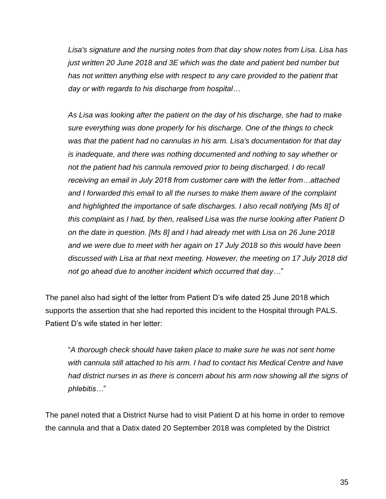*Lisa's signature and the nursing notes from that day show notes from Lisa. Lisa has just written 20 June 2018 and 3E which was the date and patient bed number but*  has not written anything else with respect to any care provided to the patient that *day or with regards to his discharge from hospital…*

*As Lisa was looking after the patient on the day of his discharge, she had to make sure everything was done properly for his discharge. One of the things to check was that the patient had no cannulas in his arm. Lisa's documentation for that day is inadequate, and there was nothing documented and nothing to say whether or not the patient had his cannula removed prior to being discharged. I do recall receiving an email in July 2018 from customer care with the letter from…attached and I forwarded this email to all the nurses to make them aware of the complaint and highlighted the importance of safe discharges. I also recall notifying [Ms 8] of this complaint as I had, by then, realised Lisa was the nurse looking after Patient D on the date in question. [Ms 8] and I had already met with Lisa on 26 June 2018 and we were due to meet with her again on 17 July 2018 so this would have been discussed with Lisa at that next meeting. However, the meeting on 17 July 2018 did not go ahead due to another incident which occurred that day…*"

The panel also had sight of the letter from Patient D's wife dated 25 June 2018 which supports the assertion that she had reported this incident to the Hospital through PALS. Patient D's wife stated in her letter:

"*A thorough check should have taken place to make sure he was not sent home with cannula still attached to his arm. I had to contact his Medical Centre and have had district nurses in as there is concern about his arm now showing all the signs of phlebitis…*"

The panel noted that a District Nurse had to visit Patient D at his home in order to remove the cannula and that a Datix dated 20 September 2018 was completed by the District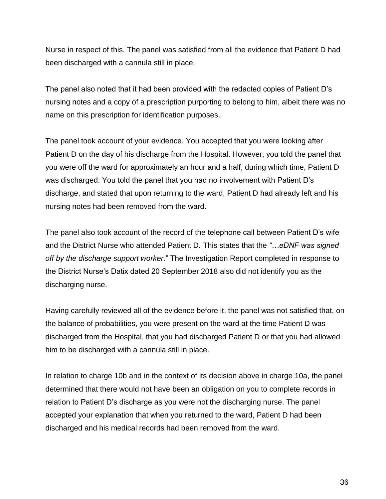Nurse in respect of this. The panel was satisfied from all the evidence that Patient D had been discharged with a cannula still in place.

The panel also noted that it had been provided with the redacted copies of Patient D's nursing notes and a copy of a prescription purporting to belong to him, albeit there was no name on this prescription for identification purposes.

The panel took account of your evidence. You accepted that you were looking after Patient D on the day of his discharge from the Hospital. However, you told the panel that you were off the ward for approximately an hour and a half, during which time, Patient D was discharged. You told the panel that you had no involvement with Patient D's discharge, and stated that upon returning to the ward, Patient D had already left and his nursing notes had been removed from the ward.

The panel also took account of the record of the telephone call between Patient D's wife and the District Nurse who attended Patient D. This states that the *"…eDNF was signed off by the discharge support worker.*" The Investigation Report completed in response to the District Nurse's Datix dated 20 September 2018 also did not identify you as the discharging nurse.

Having carefully reviewed all of the evidence before it, the panel was not satisfied that, on the balance of probabilities, you were present on the ward at the time Patient D was discharged from the Hospital, that you had discharged Patient D or that you had allowed him to be discharged with a cannula still in place.

In relation to charge 10b and in the context of its decision above in charge 10a, the panel determined that there would not have been an obligation on you to complete records in relation to Patient D's discharge as you were not the discharging nurse. The panel accepted your explanation that when you returned to the ward, Patient D had been discharged and his medical records had been removed from the ward.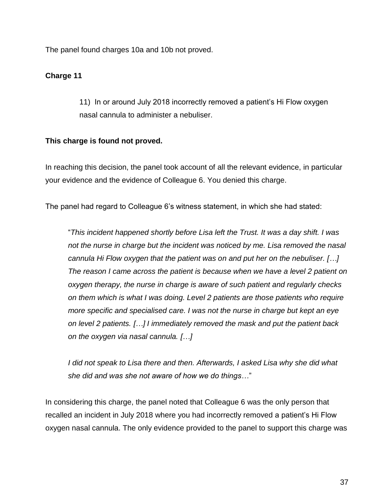The panel found charges 10a and 10b not proved.

### **Charge 11**

11) In or around July 2018 incorrectly removed a patient's Hi Flow oxygen nasal cannula to administer a nebuliser.

### **This charge is found not proved.**

In reaching this decision, the panel took account of all the relevant evidence, in particular your evidence and the evidence of Colleague 6. You denied this charge.

The panel had regard to Colleague 6's witness statement, in which she had stated:

"*This incident happened shortly before Lisa left the Trust. It was a day shift. I was not the nurse in charge but the incident was noticed by me. Lisa removed the nasal cannula Hi Flow oxygen that the patient was on and put her on the nebuliser. […] The reason I came across the patient is because when we have a level 2 patient on oxygen therapy, the nurse in charge is aware of such patient and regularly checks on them which is what I was doing. Level 2 patients are those patients who require more specific and specialised care. I was not the nurse in charge but kept an eye on level 2 patients. […] I immediately removed the mask and put the patient back on the oxygen via nasal cannula. […]*

*I did not speak to Lisa there and then. Afterwards, I asked Lisa why she did what she did and was she not aware of how we do things…*"

In considering this charge, the panel noted that Colleague 6 was the only person that recalled an incident in July 2018 where you had incorrectly removed a patient's Hi Flow oxygen nasal cannula. The only evidence provided to the panel to support this charge was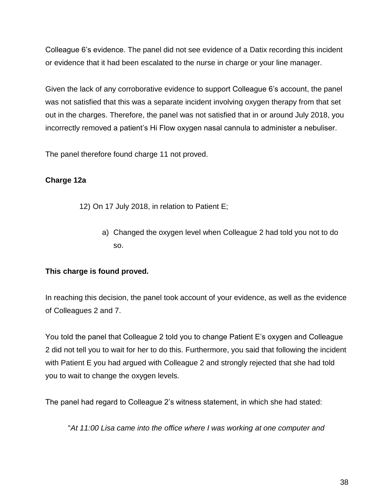Colleague 6's evidence. The panel did not see evidence of a Datix recording this incident or evidence that it had been escalated to the nurse in charge or your line manager.

Given the lack of any corroborative evidence to support Colleague 6's account, the panel was not satisfied that this was a separate incident involving oxygen therapy from that set out in the charges. Therefore, the panel was not satisfied that in or around July 2018, you incorrectly removed a patient's Hi Flow oxygen nasal cannula to administer a nebuliser.

The panel therefore found charge 11 not proved.

## **Charge 12a**

- 12) On 17 July 2018, in relation to Patient E;
	- a) Changed the oxygen level when Colleague 2 had told you not to do so.

## **This charge is found proved.**

In reaching this decision, the panel took account of your evidence, as well as the evidence of Colleagues 2 and 7.

You told the panel that Colleague 2 told you to change Patient E's oxygen and Colleague 2 did not tell you to wait for her to do this. Furthermore, you said that following the incident with Patient E you had argued with Colleague 2 and strongly rejected that she had told you to wait to change the oxygen levels.

The panel had regard to Colleague 2's witness statement, in which she had stated:

"*At 11:00 Lisa came into the office where I was working at one computer and*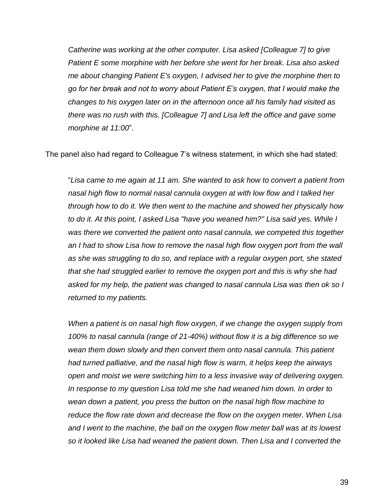*Catherine was working at the other computer. Lisa asked [Colleague 7] to give Patient E some morphine with her before she went for her break. Lisa also asked me about changing Patient E's oxygen, I advised her to give the morphine then to go for her break and not to worry about Patient E's oxygen, that I would make the changes to his oxygen later on in the afternoon once all his family had visited as there was no rush with this. [Colleague 7] and Lisa left the office and gave some morphine at 11:00*".

The panel also had regard to Colleague 7's witness statement, in which she had stated:

"*Lisa came to me again at 11 am. She wanted to ask how to convert a patient from nasal high flow to normal nasal cannula oxygen at with low flow and I talked her through how to do it. We then went to the machine and showed her physically how to do it. At this point, I asked Lisa "have you weaned him?" Lisa said yes. While I was there we converted the patient onto nasal cannula, we competed this together*  an I had to show Lisa how to remove the nasal high flow oxygen port from the wall *as she was struggling to do so, and replace with a regular oxygen port, she stated that she had struggled earlier to remove the oxygen port and this is why she had asked for my help, the patient was changed to nasal cannula Lisa was then ok so I returned to my patients.*

*When a patient is on nasal high flow oxygen, if we change the oxygen supply from 100% to nasal cannula (range of 21-40%) without flow it is a big difference so we*  wean them down slowly and then convert them onto nasal cannula. This patient *had turned palliative, and the nasal high flow is warm, it helps keep the airways open and moist we were switching him to a less invasive way of delivering oxygen. In response to my question Lisa told me she had weaned him down. In order to wean down a patient, you press the button on the nasal high flow machine to reduce the flow rate down and decrease the flow on the oxygen meter. When Lisa*  and I went to the machine, the ball on the oxygen flow meter ball was at its lowest *so it looked like Lisa had weaned the patient down. Then Lisa and I converted the*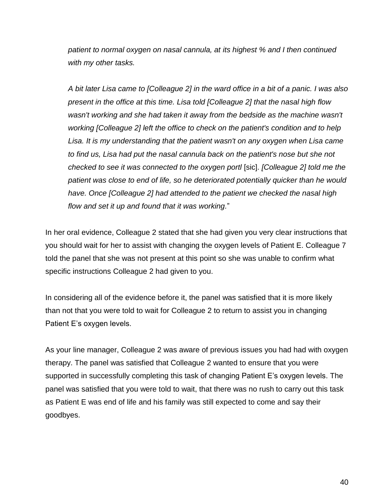*patient to normal oxygen on nasal cannula, at its highest % and I then continued with my other tasks.*

*A bit later Lisa came to [Colleague 2] in the ward office in a bit of a panic. I was also present in the office at this time. Lisa told [Colleague 2] that the nasal high flow wasn't working and she had taken it away from the bedside as the machine wasn't working [Colleague 2] left the office to check on the patient's condition and to help Lisa. It is my understanding that the patient wasn't on any oxygen when Lisa came to find us, Lisa had put the nasal cannula back on the patient's nose but she not checked to see it was connected to the oxygen portl* [sic]. *[Colleague 2] told me the patient was close to end of life, so he deteriorated potentially quicker than he would have. Once [Colleague 2] had attended to the patient we checked the nasal high flow and set it up and found that it was working.*"

In her oral evidence, Colleague 2 stated that she had given you very clear instructions that you should wait for her to assist with changing the oxygen levels of Patient E. Colleague 7 told the panel that she was not present at this point so she was unable to confirm what specific instructions Colleague 2 had given to you.

In considering all of the evidence before it, the panel was satisfied that it is more likely than not that you were told to wait for Colleague 2 to return to assist you in changing Patient E's oxygen levels.

As your line manager, Colleague 2 was aware of previous issues you had had with oxygen therapy. The panel was satisfied that Colleague 2 wanted to ensure that you were supported in successfully completing this task of changing Patient E's oxygen levels. The panel was satisfied that you were told to wait, that there was no rush to carry out this task as Patient E was end of life and his family was still expected to come and say their goodbyes.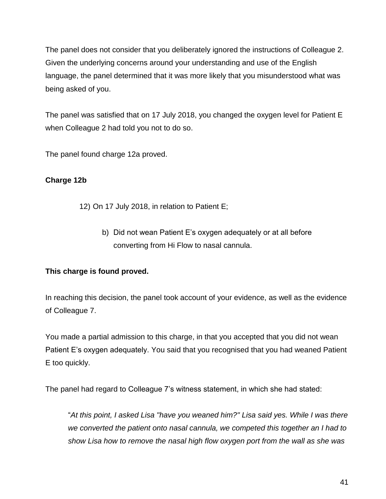The panel does not consider that you deliberately ignored the instructions of Colleague 2. Given the underlying concerns around your understanding and use of the English language, the panel determined that it was more likely that you misunderstood what was being asked of you.

The panel was satisfied that on 17 July 2018, you changed the oxygen level for Patient E when Colleague 2 had told you not to do so.

The panel found charge 12a proved.

## **Charge 12b**

- 12) On 17 July 2018, in relation to Patient E;
	- b) Did not wean Patient E's oxygen adequately or at all before converting from Hi Flow to nasal cannula.

## **This charge is found proved.**

In reaching this decision, the panel took account of your evidence, as well as the evidence of Colleague 7.

You made a partial admission to this charge, in that you accepted that you did not wean Patient E's oxygen adequately. You said that you recognised that you had weaned Patient E too quickly.

The panel had regard to Colleague 7's witness statement, in which she had stated:

"*At this point, I asked Lisa "have you weaned him?" Lisa said yes. While I was there we converted the patient onto nasal cannula, we competed this together an I had to show Lisa how to remove the nasal high flow oxygen port from the wall as she was*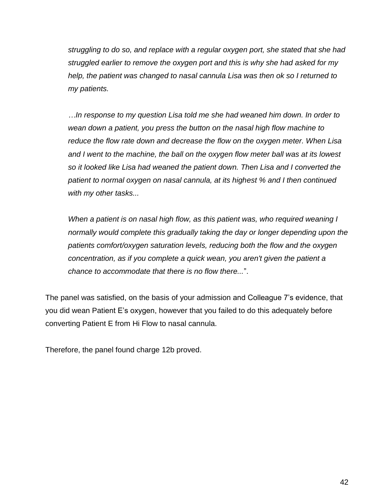*struggling to do so, and replace with a regular oxygen port, she stated that she had struggled earlier to remove the oxygen port and this is why she had asked for my help, the patient was changed to nasal cannula Lisa was then ok so I returned to my patients.*

*…In response to my question Lisa told me she had weaned him down. In order to wean down a patient, you press the button on the nasal high flow machine to reduce the flow rate down and decrease the flow on the oxygen meter. When Lisa and I went to the machine, the ball on the oxygen flow meter ball was at its lowest so it looked like Lisa had weaned the patient down. Then Lisa and I converted the patient to normal oxygen on nasal cannula, at its highest % and I then continued with my other tasks...*

*When a patient is on nasal high flow, as this patient was, who required weaning I normally would complete this gradually taking the day or longer depending upon the patients comfort/oxygen saturation levels, reducing both the flow and the oxygen concentration, as if you complete a quick wean, you aren't given the patient a chance to accommodate that there is no flow there...*".

The panel was satisfied, on the basis of your admission and Colleague 7's evidence, that you did wean Patient E's oxygen, however that you failed to do this adequately before converting Patient E from Hi Flow to nasal cannula.

Therefore, the panel found charge 12b proved.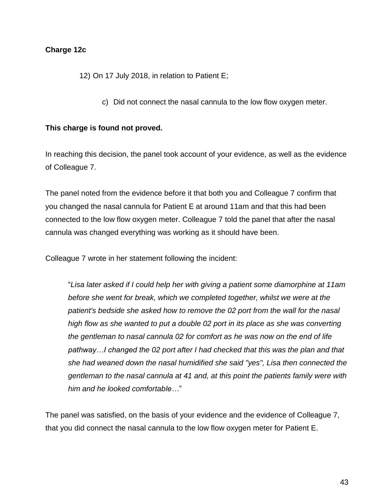#### **Charge 12c**

12) On 17 July 2018, in relation to Patient E;

c) Did not connect the nasal cannula to the low flow oxygen meter.

#### **This charge is found not proved.**

In reaching this decision, the panel took account of your evidence, as well as the evidence of Colleague 7.

The panel noted from the evidence before it that both you and Colleague 7 confirm that you changed the nasal cannula for Patient E at around 11am and that this had been connected to the low flow oxygen meter. Colleague 7 told the panel that after the nasal cannula was changed everything was working as it should have been.

Colleague 7 wrote in her statement following the incident:

"*Lisa later asked if I could help her with giving a patient some diamorphine at 11am before she went for break, which we completed together, whilst we were at the patient's bedside she asked how to remove the 02 port from the wall for the nasal high flow as she wanted to put a double 02 port in its place as she was converting the gentleman to nasal cannula 02 for comfort as he was now on the end of life pathway…I changed the 02 port after I had checked that this was the plan and that she had weaned down the nasal humidified she said "yes", Lisa then connected the gentleman to the nasal cannula at 41 and, at this point the patients family were with him and he looked comfortable…*"

The panel was satisfied, on the basis of your evidence and the evidence of Colleague 7, that you did connect the nasal cannula to the low flow oxygen meter for Patient E.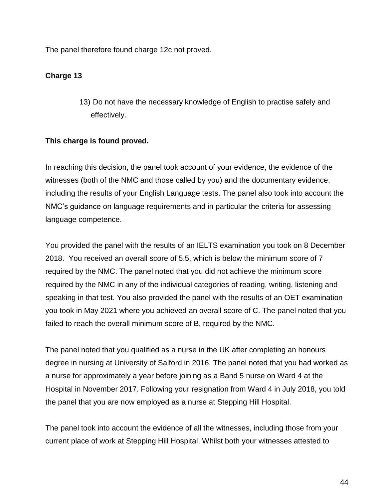The panel therefore found charge 12c not proved.

### **Charge 13**

13) Do not have the necessary knowledge of English to practise safely and effectively.

### **This charge is found proved.**

In reaching this decision, the panel took account of your evidence, the evidence of the witnesses (both of the NMC and those called by you) and the documentary evidence, including the results of your English Language tests. The panel also took into account the NMC's guidance on language requirements and in particular the criteria for assessing language competence.

You provided the panel with the results of an IELTS examination you took on 8 December 2018. You received an overall score of 5.5, which is below the minimum score of 7 required by the NMC. The panel noted that you did not achieve the minimum score required by the NMC in any of the individual categories of reading, writing, listening and speaking in that test. You also provided the panel with the results of an OET examination you took in May 2021 where you achieved an overall score of C. The panel noted that you failed to reach the overall minimum score of B, required by the NMC.

The panel noted that you qualified as a nurse in the UK after completing an honours degree in nursing at University of Salford in 2016. The panel noted that you had worked as a nurse for approximately a year before joining as a Band 5 nurse on Ward 4 at the Hospital in November 2017. Following your resignation from Ward 4 in July 2018, you told the panel that you are now employed as a nurse at Stepping Hill Hospital.

The panel took into account the evidence of all the witnesses, including those from your current place of work at Stepping Hill Hospital. Whilst both your witnesses attested to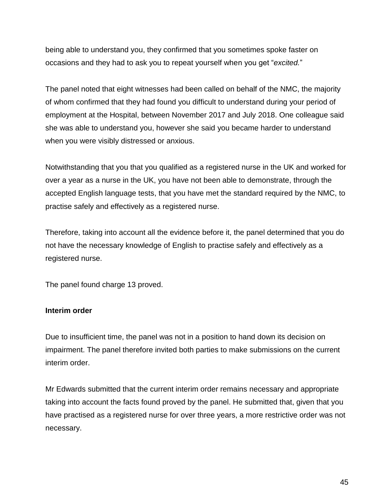being able to understand you, they confirmed that you sometimes spoke faster on occasions and they had to ask you to repeat yourself when you get "*excited.*"

The panel noted that eight witnesses had been called on behalf of the NMC, the majority of whom confirmed that they had found you difficult to understand during your period of employment at the Hospital, between November 2017 and July 2018. One colleague said she was able to understand you, however she said you became harder to understand when you were visibly distressed or anxious.

Notwithstanding that you that you qualified as a registered nurse in the UK and worked for over a year as a nurse in the UK, you have not been able to demonstrate, through the accepted English language tests, that you have met the standard required by the NMC, to practise safely and effectively as a registered nurse.

Therefore, taking into account all the evidence before it, the panel determined that you do not have the necessary knowledge of English to practise safely and effectively as a registered nurse.

The panel found charge 13 proved.

### **Interim order**

Due to insufficient time, the panel was not in a position to hand down its decision on impairment. The panel therefore invited both parties to make submissions on the current interim order.

Mr Edwards submitted that the current interim order remains necessary and appropriate taking into account the facts found proved by the panel. He submitted that, given that you have practised as a registered nurse for over three years, a more restrictive order was not necessary.